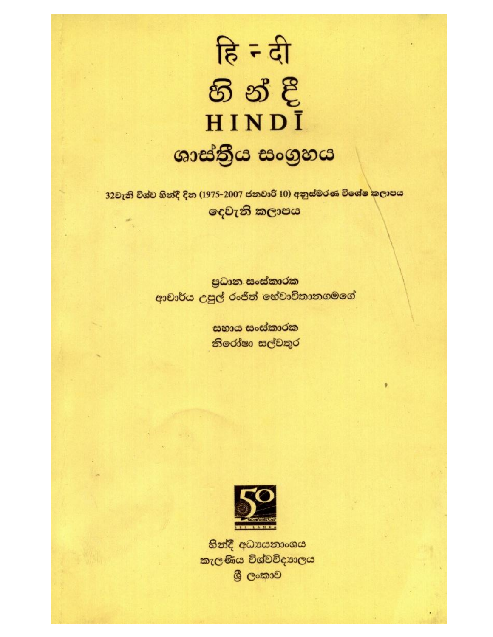

32වැනි විශ්ව හින්දී දින (1975-2007 ජනවාරි 10) අනුස්මරණ විශේෂ <mark>කලාපය</mark> දෙවැනි කලාපය

> පුධාන සංස්කාරක ආචාර්ය උපුල් රංජිත් හේවාචිතානගමගේ

> > සහාය සංස්කාරක නිරෝෂා සල්වතුර



හින්දී අධාපයනාංශය කැලණිය විශ්වවිදහාලය ශී ලංකාව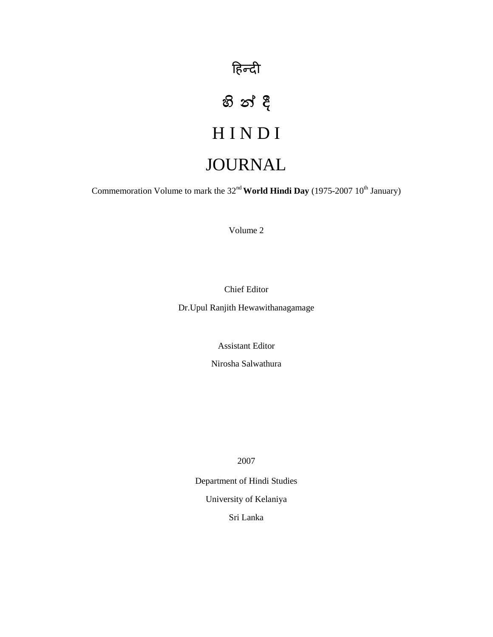## हिन्दी

# H I N D I JOURNAL

Commemoration Volume to mark the 32<sup>nd</sup> World Hindi Day (1975-2007 10<sup>th</sup> January)

Volume 2

Chief Editor

Dr.Upul Ranjith Hewawithanagamage

Assistant Editor

Nirosha Salwathura

2007

Department of Hindi Studies University of Kelaniya Sri Lanka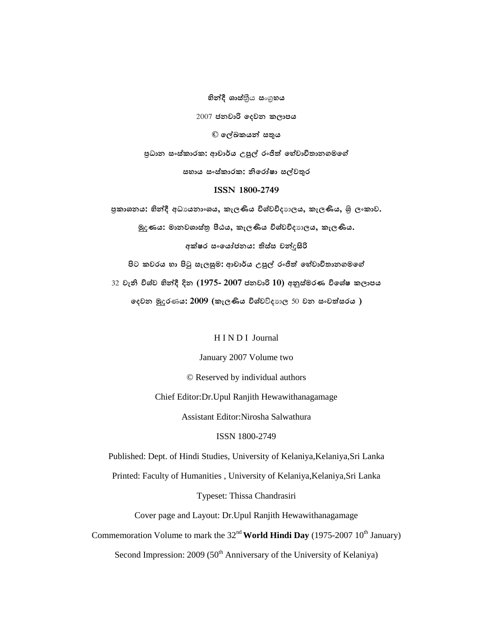**හින්දී ශාස්**තීය සංගුහය 2007 **ය © ය ය** පුධාන සංස්කාරක: ආචාර්ය උපුල් රංජිත් හේවාවිතානගමගේ සහාය සංස්කාරක: නිරෝෂා සල්වතුර **ISSN 1800-2749** පුකාශනය: හින්දී අධායනාංශය, කැලණිය විශ්වවිදාාලය, කැලණිය, ශුි ලංකාව.

 $\frac{1}{2}$  දිගෙයි: මානවශාස්තු පීඨය, කැලණිය විශ්වවිදාහලය, කැලණිය.

අක්ෂර සංශෝජනය: තිස්ස චන්දසිරි

පිට කවරය හා පිටු සැලසුම: ආචාර්ය උපුල් රංජිත් හේවාවිතානගමගේ

32 වැනි විශ්ව හින්දී දින (1975- 2007 ජනවාරි 10) අනුස්මරණ විශේෂ කලාපය

 $\epsilon$ දවන මූදරණය: 2009 (කැලණිය විශ්වව්දාාල 50 වන සංවත්සරය )

H I N D I Journal

January 2007 Volume two

© Reserved by individual authors

Chief Editor:Dr.Upul Ranjith Hewawithanagamage

Assistant Editor:Nirosha Salwathura

ISSN 1800-2749

Published: Dept. of Hindi Studies, University of Kelaniya,Kelaniya,Sri Lanka

Printed: Faculty of Humanities , University of Kelaniya,Kelaniya,Sri Lanka

Typeset: Thissa Chandrasiri

Cover page and Layout: Dr.Upul Ranjith Hewawithanagamage

Commemoration Volume to mark the  $32<sup>nd</sup>$  World Hindi Day (1975-2007 10<sup>th</sup> January)

Second Impression:  $2009 (50<sup>th</sup> Anniversary of the University of Kelaniya)$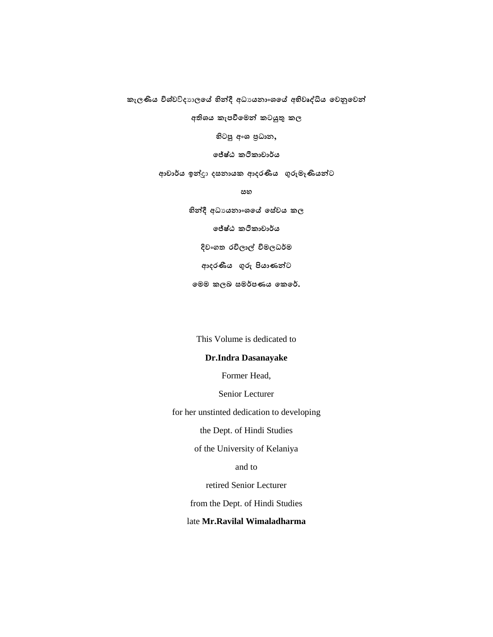කැලණිය විශ්වව්ද**ාලයේ හින්දී අධායනාංශයේ අභිවෘද්ධිය වෙනු**වෙන්

අතිශය කැපවීමෙන් කටයුතු කල

 **අ** % **,**

ලජ්ෂ්ඨ ක**ථිකාචාර්**ය

අාචාර්ය ඉන්දුා දසනායක ආදරණීය ගුරුමෑණියන්ට

 **හ**

හින්දී අධායනාංශයේ සේවය කල ලජ්ෂ්ඨ කථිකාචාර්ය දිවංගත රවිලාල් විමලධර්ම ආදරණීය ගුරු පියාණන්ට  **ණය .**

This Volume is dedicated to

#### **Dr.Indra Dasanayake**

Former Head,

Senior Lecturer

for her unstinted dedication to developing

the Dept. of Hindi Studies

of the University of Kelaniya

and to

retired Senior Lecturer

from the Dept. of Hindi Studies

#### late **Mr.Ravilal Wimaladharma**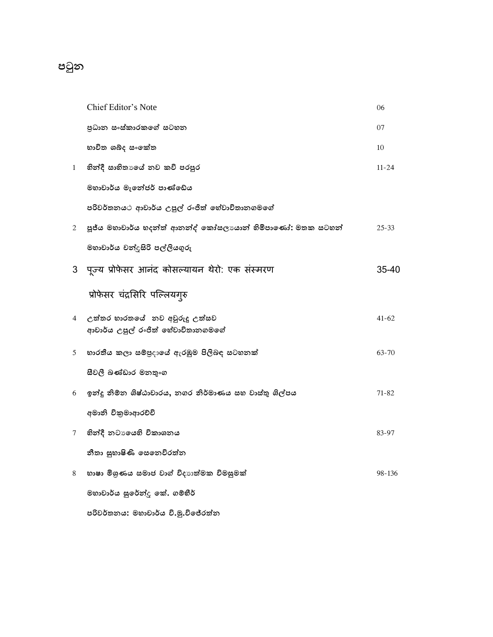### පටුන

|              | Chief Editor's Note                                                 | 06        |
|--------------|---------------------------------------------------------------------|-----------|
|              | පුධාන සංස්කාරකගේ සටහන                                               | 07        |
|              | භාවිත ශබ්ද සංඉක්ත                                                   | 10        |
| $\mathbf{1}$ | හින්දී සාහිතාගේ නව කවි පරපුර                                        | $11 - 24$ |
|              | මහාචාර්ය මැතේජර් පාණ්ඩේය                                            |           |
|              | පරිවර්තනයථ ආචාර්ය උපුල් රංජිත් හේවාවිතානගමගේ                        |           |
| $\mathbf{2}$ | පූජ්ය මහාචාර්ය හදන්ත් ආනන්ද් කෝසලායාන් හිමිපාණෝ: මතක සටහන්          | $25 - 33$ |
|              | මහාචාර්ය චන්දුසිරි පල්ලියගුරු                                       |           |
|              | 3 पूज्य प्रोफेसर आनंद कोसल्यायन थेरो: एक संस्मरण                    | 35-40     |
|              | प्रोफेसर चंद्रसिरि पल्लियगुरु                                       |           |
| 4            | උත්තර භාරතයේ  නව අවුරුදු උත්සව<br>ආචාර්ය උපුල් රංජිත් හේවාවිතානගමගේ | $41 - 62$ |
| 5            | හාරතීය කලා සම්පුදායේ ඇරඹුම පිලිබඳ සටහනක්                            | 63-70     |
|              | සීවලී බණ්ඩාර මනතුංග                                                 |           |
| 6            | ඉන්දු නිම්න ශිෂ්ඨාචාරය, නගර නිර්මාණය සහ වාස්තු ශිල්පය               | $71 - 82$ |
|              | අමානි විකුමාආරච්චි                                                  |           |
| 7            | හින්දී නටායෙහි විකාශනය                                              | 83-97     |
|              | නීතා සුභාෂිණි සෙනෙවිරත්න                                            |           |
| 8            | භාෂා මිශුණය සමාජ වාග් විදාාත්මක විමසුමක්                            | 98-136    |
|              | මහාචාර්ය සුරේන්දු කේ. ගම්භීර්                                       |           |
|              | පරිවර්තනය: මහාචාර්ය වි.මූ.විජේරත්න                                  |           |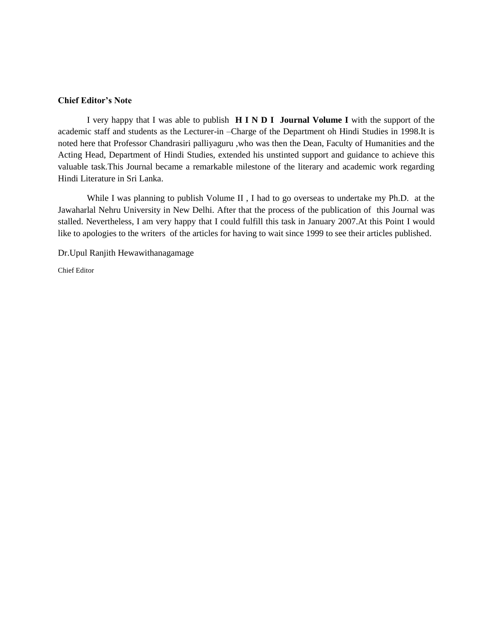#### **Chief Editor's Note**

I very happy that I was able to publish **H I N D I Journal Volume I** with the support of the academic staff and students as the Lecturer-in –Charge of the Department oh Hindi Studies in 1998.It is noted here that Professor Chandrasiri palliyaguru ,who was then the Dean, Faculty of Humanities and the Acting Head, Department of Hindi Studies, extended his unstinted support and guidance to achieve this valuable task.This Journal became a remarkable milestone of the literary and academic work regarding Hindi Literature in Sri Lanka.

While I was planning to publish Volume II, I had to go overseas to undertake my Ph.D. at the Jawaharlal Nehru University in New Delhi. After that the process of the publication of this Journal was stalled. Nevertheless, I am very happy that I could fulfill this task in January 2007.At this Point I would like to apologies to the writers of the articles for having to wait since 1999 to see their articles published.

Dr.Upul Ranjith Hewawithanagamage

Chief Editor